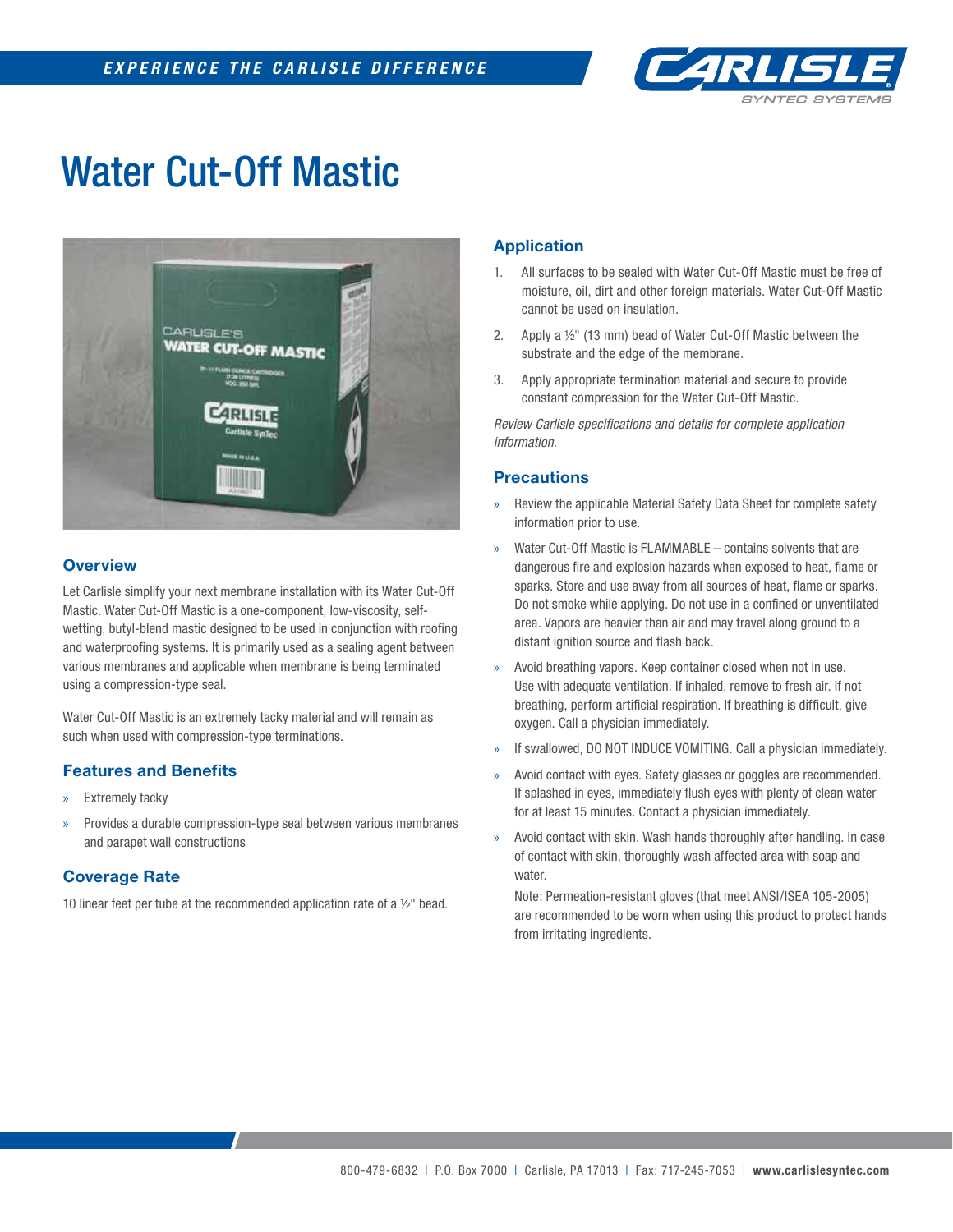

## Water Cut-Off Mastic



## **Overview**

Let Carlisle simplify your next membrane installation with its Water Cut-Off Mastic. Water Cut-Off Mastic is a one-component, low-viscosity, selfwetting, butyl-blend mastic designed to be used in conjunction with roofing and waterproofing systems. It is primarily used as a sealing agent between various membranes and applicable when membrane is being terminated using a compression-type seal.

Water Cut-Off Mastic is an extremely tacky material and will remain as such when used with compression-type terminations.

## **Features and Benefits**

- » Extremely tacky
- » Provides a durable compression-type seal between various membranes and parapet wall constructions

## **Coverage Rate**

10 linear feet per tube at the recommended application rate of a  $1/2$ " bead.

## **Application**

- 1. All surfaces to be sealed with Water Cut-Off Mastic must be free of moisture, oil, dirt and other foreign materials. Water Cut-Off Mastic cannot be used on insulation.
- 2. Apply a ½" (13 mm) bead of Water Cut-Off Mastic between the substrate and the edge of the membrane.
- 3. Apply appropriate termination material and secure to provide constant compression for the Water Cut-Off Mastic.

*Review Carlisle specifi cations and details for complete application information.*

#### **Precautions**

- » Review the applicable Material Safety Data Sheet for complete safety information prior to use.
- » Water Cut-Off Mastic is FLAMMABLE contains solvents that are dangerous fire and explosion hazards when exposed to heat, flame or sparks. Store and use away from all sources of heat, flame or sparks. Do not smoke while applying. Do not use in a confined or unventilated area. Vapors are heavier than air and may travel along ground to a distant ignition source and flash back.
- » Avoid breathing vapors. Keep container closed when not in use. Use with adequate ventilation. If inhaled, remove to fresh air. If not breathing, perform artificial respiration. If breathing is difficult, give oxygen. Call a physician immediately.
- If swallowed, DO NOT INDUCE VOMITING. Call a physician immediately.
- Avoid contact with eyes. Safety glasses or goggles are recommended. If splashed in eyes, immediately flush eyes with plenty of clean water for at least 15 minutes. Contact a physician immediately.
- » Avoid contact with skin. Wash hands thoroughly after handling. In case of contact with skin, thoroughly wash affected area with soap and water.

Note: Permeation-resistant gloves (that meet ANSI/ISEA 105-2005) are recommended to be worn when using this product to protect hands from irritating ingredients.